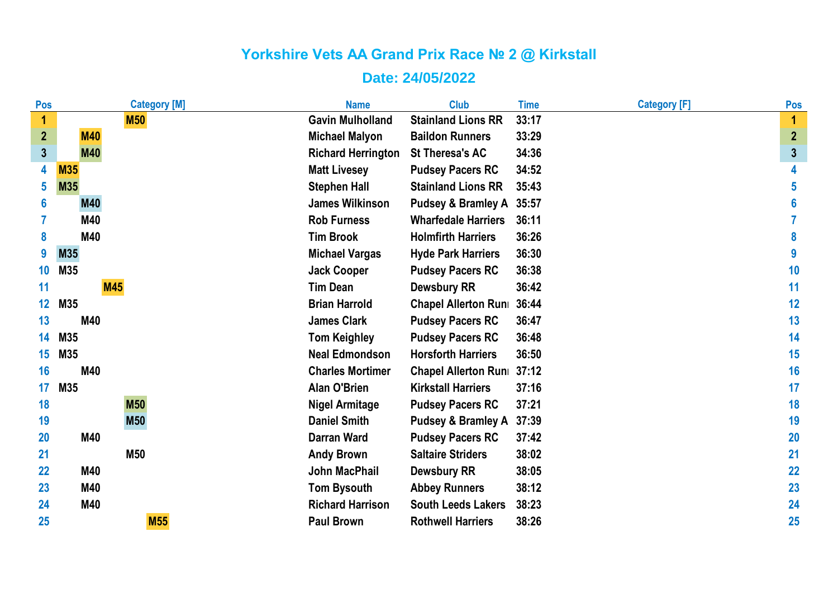| Pos              | <b>Category [M]</b> | <b>Name</b>               | <b>Club</b>                   | <b>Time</b> | <b>Category [F]</b> | Pos              |
|------------------|---------------------|---------------------------|-------------------------------|-------------|---------------------|------------------|
| 1                | <b>M50</b>          | <b>Gavin Mulholland</b>   | <b>Stainland Lions RR</b>     | 33:17       |                     | 1                |
| $\overline{2}$   | <b>M40</b>          | <b>Michael Malyon</b>     | <b>Baildon Runners</b>        | 33:29       |                     | $\boldsymbol{2}$ |
| $3\overline{3}$  | <b>M40</b>          | <b>Richard Herrington</b> | <b>St Theresa's AC</b>        | 34:36       |                     | $\mathbf{3}$     |
| 4                | <b>M35</b>          | <b>Matt Livesey</b>       | <b>Pudsey Pacers RC</b>       | 34:52       |                     | 4                |
| 5                | M35                 | <b>Stephen Hall</b>       | <b>Stainland Lions RR</b>     | 35:43       |                     | 5                |
| 6                | <b>M40</b>          | <b>James Wilkinson</b>    | <b>Pudsey &amp; Bramley A</b> | 35:57       |                     | 6                |
|                  | M40                 | <b>Rob Furness</b>        | <b>Wharfedale Harriers</b>    | 36:11       |                     |                  |
| 8                | M40                 | <b>Tim Brook</b>          | <b>Holmfirth Harriers</b>     | 36:26       |                     | 8                |
| 9                | M35                 | <b>Michael Vargas</b>     | <b>Hyde Park Harriers</b>     | 36:30       |                     | 9                |
| 10 <sup>°</sup>  | M35                 | <b>Jack Cooper</b>        | <b>Pudsey Pacers RC</b>       | 36:38       |                     | 10               |
| 11               | <b>M45</b>          | <b>Tim Dean</b>           | <b>Dewsbury RR</b>            | 36:42       |                     | 11               |
| 12 <sub>2</sub>  | M35                 | <b>Brian Harrold</b>      | <b>Chapel Allerton Runi</b>   | 36:44       |                     | 12               |
| 13               | M40                 | <b>James Clark</b>        | <b>Pudsey Pacers RC</b>       | 36:47       |                     | 13               |
| 14               | M35                 | <b>Tom Keighley</b>       | <b>Pudsey Pacers RC</b>       | 36:48       |                     | 14               |
| 15 <sub>15</sub> | M35                 | <b>Neal Edmondson</b>     | <b>Horsforth Harriers</b>     | 36:50       |                     | 15               |
| 16               | M40                 | <b>Charles Mortimer</b>   | <b>Chapel Allerton Runi</b>   | 37:12       |                     | 16               |
| 17               | M35                 | <b>Alan O'Brien</b>       | <b>Kirkstall Harriers</b>     | 37:16       |                     | 17               |
| 18               | <b>M50</b>          | <b>Nigel Armitage</b>     | <b>Pudsey Pacers RC</b>       | 37:21       |                     | 18               |
| 19               | <b>M50</b>          | <b>Daniel Smith</b>       | <b>Pudsey &amp; Bramley A</b> | 37:39       |                     | 19               |
| <b>20</b>        | M40                 | <b>Darran Ward</b>        | <b>Pudsey Pacers RC</b>       | 37:42       |                     | 20               |
| 21               | M50                 | <b>Andy Brown</b>         | <b>Saltaire Striders</b>      | 38:02       |                     | 21               |
| 22               | M40                 | <b>John MacPhail</b>      | <b>Dewsbury RR</b>            | 38:05       |                     | 22               |
| 23               | M40                 | <b>Tom Bysouth</b>        | <b>Abbey Runners</b>          | 38:12       |                     | 23               |
| 24               | M40                 | <b>Richard Harrison</b>   | <b>South Leeds Lakers</b>     | 38:23       |                     | 24               |
| 25               | <b>M55</b>          | <b>Paul Brown</b>         | <b>Rothwell Harriers</b>      | 38:26       |                     | 25               |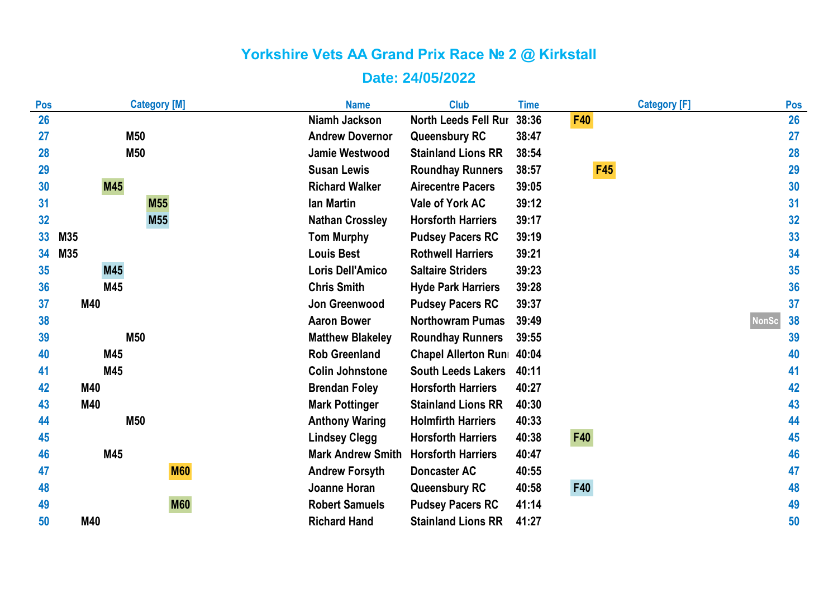| Pos | <b>Category [M]</b> | <b>Name</b>              | <b>Club</b>                 | <b>Time</b> | <b>Category [F]</b> | Pos                |
|-----|---------------------|--------------------------|-----------------------------|-------------|---------------------|--------------------|
| 26  |                     | Niamh Jackson            | <b>North Leeds Fell Rur</b> | 38:36       | <b>F40</b>          | 26                 |
| 27  | M50                 | <b>Andrew Dovernor</b>   | <b>Queensbury RC</b>        | 38:47       |                     | 27                 |
| 28  | M50                 | <b>Jamie Westwood</b>    | <b>Stainland Lions RR</b>   | 38:54       |                     | 28                 |
| 29  |                     | <b>Susan Lewis</b>       | <b>Roundhay Runners</b>     | 38:57       | <b>F45</b>          | 29                 |
| 30  | M45                 | <b>Richard Walker</b>    | <b>Airecentre Pacers</b>    | 39:05       |                     | 30                 |
| 31  | <b>M55</b>          | <b>lan Martin</b>        | <b>Vale of York AC</b>      | 39:12       |                     | 31                 |
| 32  | M <sub>55</sub>     | <b>Nathan Crossley</b>   | <b>Horsforth Harriers</b>   | 39:17       |                     | 32                 |
| 33  | M35                 | <b>Tom Murphy</b>        | <b>Pudsey Pacers RC</b>     | 39:19       |                     | 33                 |
| 34  | M35                 | <b>Louis Best</b>        | <b>Rothwell Harriers</b>    | 39:21       |                     | 34                 |
| 35  | M45                 | <b>Loris Dell'Amico</b>  | <b>Saltaire Striders</b>    | 39:23       |                     | 35                 |
| 36  | M45                 | <b>Chris Smith</b>       | <b>Hyde Park Harriers</b>   | 39:28       |                     | 36                 |
| 37  | M40                 | Jon Greenwood            | <b>Pudsey Pacers RC</b>     | 39:37       |                     | 37                 |
| 38  |                     | <b>Aaron Bower</b>       | <b>Northowram Pumas</b>     | 39:49       |                     | <b>NonSc</b><br>38 |
| 39  | M50                 | <b>Matthew Blakeley</b>  | <b>Roundhay Runners</b>     | 39:55       |                     | 39                 |
| 40  | M45                 | <b>Rob Greenland</b>     | Chapel Allerton Runi 40:04  |             |                     | 40                 |
| 41  | M45                 | <b>Colin Johnstone</b>   | <b>South Leeds Lakers</b>   | 40:11       |                     | 41                 |
| 42  | M40                 | <b>Brendan Foley</b>     | <b>Horsforth Harriers</b>   | 40:27       |                     | 42                 |
| 43  | M40                 | <b>Mark Pottinger</b>    | <b>Stainland Lions RR</b>   | 40:30       |                     | 43                 |
| 44  | M50                 | <b>Anthony Waring</b>    | <b>Holmfirth Harriers</b>   | 40:33       |                     | 44                 |
| 45  |                     | <b>Lindsey Clegg</b>     | <b>Horsforth Harriers</b>   | 40:38       | <b>F40</b>          | 45                 |
| 46  | M45                 | <b>Mark Andrew Smith</b> | <b>Horsforth Harriers</b>   | 40:47       |                     | 46                 |
| 47  | <b>M60</b>          | <b>Andrew Forsyth</b>    | <b>Doncaster AC</b>         | 40:55       |                     | 47                 |
| 48  |                     | Joanne Horan             | <b>Queensbury RC</b>        | 40:58       | <b>F40</b>          | 48                 |
| 49  | <b>M60</b>          | <b>Robert Samuels</b>    | <b>Pudsey Pacers RC</b>     | 41:14       |                     | 49                 |
| 50  | M40                 | <b>Richard Hand</b>      | <b>Stainland Lions RR</b>   | 41:27       |                     | 50                 |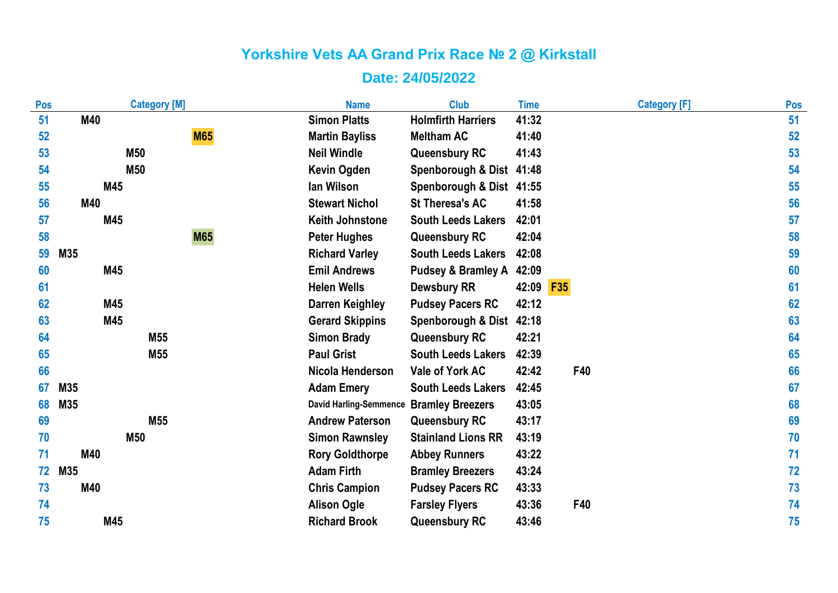| Pos | <b>Category [M]</b> | <b>Name</b>                   | <b>Club</b>                   | <b>Time</b> | <b>Category [F]</b> | Pos |
|-----|---------------------|-------------------------------|-------------------------------|-------------|---------------------|-----|
| 51  | M40                 | <b>Simon Platts</b>           | <b>Holmfirth Harriers</b>     | 41:32       |                     | 51  |
| 52  | <b>M65</b>          | <b>Martin Bayliss</b>         | <b>Meltham AC</b>             | 41:40       |                     | 52  |
| 53  | M50                 | <b>Neil Windle</b>            | <b>Queensbury RC</b>          | 41:43       |                     | 53  |
| 54  | M50                 | <b>Kevin Ogden</b>            | Spenborough & Dist 41:48      |             |                     | 54  |
| 55  | M45                 | lan Wilson                    | Spenborough & Dist 41:55      |             |                     | 55  |
| 56  | M40                 | <b>Stewart Nichol</b>         | <b>St Theresa's AC</b>        | 41:58       |                     | 56  |
| 57  | M45                 | <b>Keith Johnstone</b>        | <b>South Leeds Lakers</b>     | 42:01       |                     | 57  |
| 58  | <b>M65</b>          | <b>Peter Hughes</b>           | <b>Queensbury RC</b>          | 42:04       |                     | 58  |
| 59  | M35                 | <b>Richard Varley</b>         | <b>South Leeds Lakers</b>     | 42:08       |                     | 59  |
| 60  | M45                 | <b>Emil Andrews</b>           | <b>Pudsey &amp; Bramley A</b> | 42:09       |                     | 60  |
| 61  |                     | <b>Helen Wells</b>            | <b>Dewsbury RR</b>            | 42:09 F35   |                     | 61  |
| 62  | M45                 | <b>Darren Keighley</b>        | <b>Pudsey Pacers RC</b>       | 42:12       |                     | 62  |
| 63  | M45                 | <b>Gerard Skippins</b>        | Spenborough & Dist 42:18      |             |                     | 63  |
| 64  | M55                 | <b>Simon Brady</b>            | <b>Queensbury RC</b>          | 42:21       |                     | 64  |
| 65  | M55                 | <b>Paul Grist</b>             | <b>South Leeds Lakers</b>     | 42:39       |                     | 65  |
| 66  |                     | Nicola Henderson              | Vale of York AC               | 42:42       | F40                 | 66  |
| 67  | M35                 | <b>Adam Emery</b>             | <b>South Leeds Lakers</b>     | 42:45       |                     | 67  |
| 68  | M35                 | <b>David Harling-Semmence</b> | <b>Bramley Breezers</b>       | 43:05       |                     | 68  |
| 69  | M55                 | <b>Andrew Paterson</b>        | <b>Queensbury RC</b>          | 43:17       |                     | 69  |
| 70  | <b>M50</b>          | <b>Simon Rawnsley</b>         | <b>Stainland Lions RR</b>     | 43:19       |                     | 70  |
| 71  | M40                 | <b>Rory Goldthorpe</b>        | <b>Abbey Runners</b>          | 43:22       |                     | 71  |
| 72  | M35                 | <b>Adam Firth</b>             | <b>Bramley Breezers</b>       | 43:24       |                     | 72  |
| 73  | M40                 | <b>Chris Campion</b>          | <b>Pudsey Pacers RC</b>       | 43:33       |                     | 73  |
| 74  |                     | <b>Alison Ogle</b>            | <b>Farsley Flyers</b>         | 43:36       | F40                 | 74  |
| 75  | M45                 | <b>Richard Brook</b>          | <b>Queensbury RC</b>          | 43:46       |                     | 75  |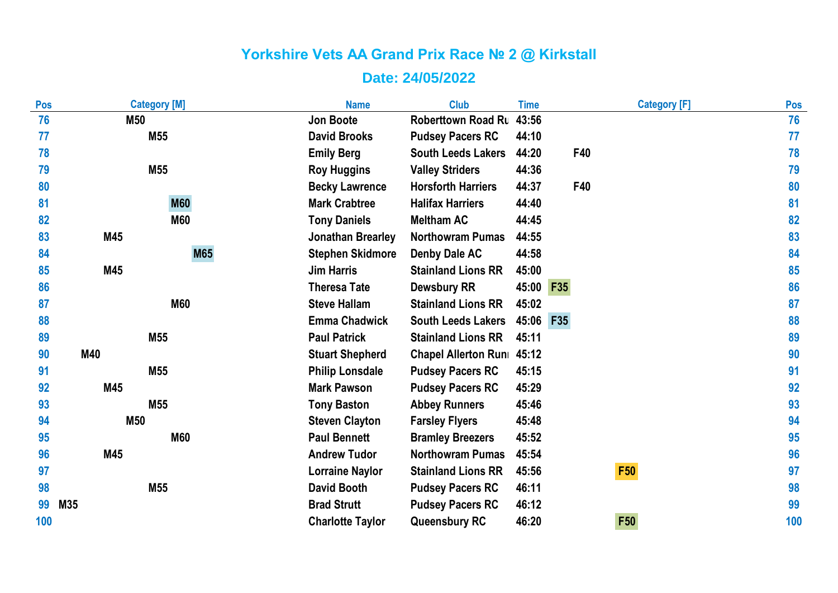| Pos | <b>Category [M]</b> | <b>Name</b>              | <b>Club</b>                | <b>Time</b> | <b>Category [F]</b> | Pos |
|-----|---------------------|--------------------------|----------------------------|-------------|---------------------|-----|
| 76  | <b>M50</b>          | Jon Boote                | <b>Roberttown Road Ru</b>  | 43:56       |                     | 76  |
| 77  | M55                 | <b>David Brooks</b>      | <b>Pudsey Pacers RC</b>    | 44:10       |                     | 77  |
| 78  |                     | <b>Emily Berg</b>        | <b>South Leeds Lakers</b>  | 44:20       | F40                 | 78  |
| 79  | M55                 | <b>Roy Huggins</b>       | <b>Valley Striders</b>     | 44:36       |                     | 79  |
| 80  |                     | <b>Becky Lawrence</b>    | <b>Horsforth Harriers</b>  | 44:37       | F40                 | 80  |
| 81  | <b>M60</b>          | <b>Mark Crabtree</b>     | <b>Halifax Harriers</b>    | 44:40       |                     | 81  |
| 82  | <b>M60</b>          | <b>Tony Daniels</b>      | <b>Meltham AC</b>          | 44:45       |                     | 82  |
| 83  | M45                 | <b>Jonathan Brearley</b> | <b>Northowram Pumas</b>    | 44:55       |                     | 83  |
| 84  | <b>M65</b>          | <b>Stephen Skidmore</b>  | <b>Denby Dale AC</b>       | 44:58       |                     | 84  |
| 85  | M45                 | <b>Jim Harris</b>        | <b>Stainland Lions RR</b>  | 45:00       |                     | 85  |
| 86  |                     | <b>Theresa Tate</b>      | <b>Dewsbury RR</b>         | 45:00 F35   |                     | 86  |
| 87  | <b>M60</b>          | <b>Steve Hallam</b>      | <b>Stainland Lions RR</b>  | 45:02       |                     | 87  |
| 88  |                     | <b>Emma Chadwick</b>     | <b>South Leeds Lakers</b>  | 45:06       | <b>F35</b>          | 88  |
| 89  | M55                 | <b>Paul Patrick</b>      | <b>Stainland Lions RR</b>  | 45:11       |                     | 89  |
| 90  | M40                 | <b>Stuart Shepherd</b>   | Chapel Allerton Runi 45:12 |             |                     | 90  |
| 91  | M55                 | <b>Philip Lonsdale</b>   | <b>Pudsey Pacers RC</b>    | 45:15       |                     | 91  |
| 92  | M45                 | <b>Mark Pawson</b>       | <b>Pudsey Pacers RC</b>    | 45:29       |                     | 92  |
| 93  | M55                 | <b>Tony Baston</b>       | <b>Abbey Runners</b>       | 45:46       |                     | 93  |
| 94  | <b>M50</b>          | <b>Steven Clayton</b>    | <b>Farsley Flyers</b>      | 45:48       |                     | 94  |
| 95  | <b>M60</b>          | <b>Paul Bennett</b>      | <b>Bramley Breezers</b>    | 45:52       |                     | 95  |
| 96  | M45                 | <b>Andrew Tudor</b>      | <b>Northowram Pumas</b>    | 45:54       |                     | 96  |
| 97  |                     | <b>Lorraine Naylor</b>   | <b>Stainland Lions RR</b>  | 45:56       | <b>F50</b>          | 97  |
| 98  | M55                 | <b>David Booth</b>       | <b>Pudsey Pacers RC</b>    | 46:11       |                     | 98  |
| 99  | M35                 | <b>Brad Strutt</b>       | <b>Pudsey Pacers RC</b>    | 46:12       |                     | 99  |
| 100 |                     | <b>Charlotte Taylor</b>  | <b>Queensbury RC</b>       | 46:20       | F50                 | 100 |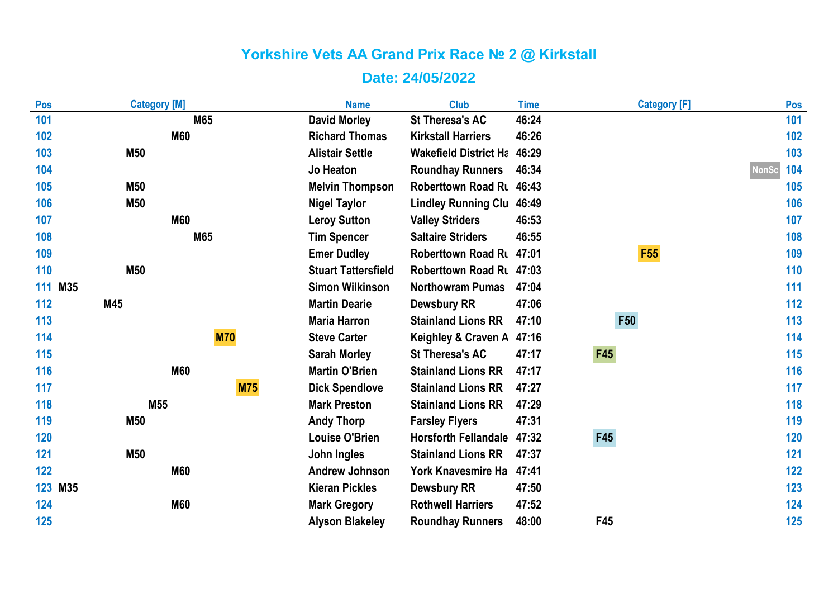| Pos     | <b>Category [M]</b> | <b>Name</b>                | <b>Club</b>                  | <b>Time</b> | <b>Category [F]</b> | Pos                 |
|---------|---------------------|----------------------------|------------------------------|-------------|---------------------|---------------------|
| 101     | M65                 | <b>David Morley</b>        | <b>St Theresa's AC</b>       | 46:24       |                     | 101                 |
| 102     | <b>M60</b>          | <b>Richard Thomas</b>      | <b>Kirkstall Harriers</b>    | 46:26       |                     | 102                 |
| 103     | M50                 | <b>Alistair Settle</b>     | <b>Wakefield District Ha</b> | 46:29       |                     | 103                 |
| 104     |                     | <b>Jo Heaton</b>           | <b>Roundhay Runners</b>      | 46:34       |                     | 104<br><b>NonSc</b> |
| 105     | <b>M50</b>          | <b>Melvin Thompson</b>     | Roberttown Road Ru 46:43     |             |                     | 105                 |
| 106     | M50                 | <b>Nigel Taylor</b>        | <b>Lindley Running Clu</b>   | 46:49       |                     | 106                 |
| 107     | <b>M60</b>          | <b>Leroy Sutton</b>        | <b>Valley Striders</b>       | 46:53       |                     | 107                 |
| 108     | M65                 | <b>Tim Spencer</b>         | <b>Saltaire Striders</b>     | 46:55       |                     | 108                 |
| 109     |                     | <b>Emer Dudley</b>         | Roberttown Road Ru 47:01     |             | F <sub>55</sub>     | 109                 |
| 110     | M50                 | <b>Stuart Tattersfield</b> | Roberttown Road Ru 47:03     |             |                     | 110                 |
| 111 M35 |                     | <b>Simon Wilkinson</b>     | <b>Northowram Pumas</b>      | 47:04       |                     | 111                 |
| 112     | M45                 | <b>Martin Dearie</b>       | <b>Dewsbury RR</b>           | 47:06       |                     | 112                 |
| 113     |                     | <b>Maria Harron</b>        | <b>Stainland Lions RR</b>    | 47:10       | F50                 | 113                 |
| 114     | <b>M70</b>          | <b>Steve Carter</b>        | Keighley & Craven A          | 47:16       |                     | 114                 |
| 115     |                     | <b>Sarah Morley</b>        | <b>St Theresa's AC</b>       | 47:17       | <b>F45</b>          | 115                 |
| 116     | <b>M60</b>          | <b>Martin O'Brien</b>      | <b>Stainland Lions RR</b>    | 47:17       |                     | 116                 |
| 117     | <b>M75</b>          | <b>Dick Spendlove</b>      | <b>Stainland Lions RR</b>    | 47:27       |                     | 117                 |
| 118     | M <sub>55</sub>     | <b>Mark Preston</b>        | <b>Stainland Lions RR</b>    | 47:29       |                     | 118                 |
| 119     | M50                 | <b>Andy Thorp</b>          | <b>Farsley Flyers</b>        | 47:31       |                     | 119                 |
| 120     |                     | <b>Louise O'Brien</b>      | <b>Horsforth Fellandale</b>  | 47:32       | F45                 | 120                 |
| 121     | M50                 | John Ingles                | <b>Stainland Lions RR</b>    | 47:37       |                     | 121                 |
| 122     | <b>M60</b>          | <b>Andrew Johnson</b>      | York Knavesmire Ha           | 47:41       |                     | 122                 |
| 123 M35 |                     | <b>Kieran Pickles</b>      | <b>Dewsbury RR</b>           | 47:50       |                     | 123                 |
| 124     | <b>M60</b>          | <b>Mark Gregory</b>        | <b>Rothwell Harriers</b>     | 47:52       |                     | 124                 |
| 125     |                     | <b>Alyson Blakeley</b>     | <b>Roundhay Runners</b>      | 48:00       | F45                 | 125                 |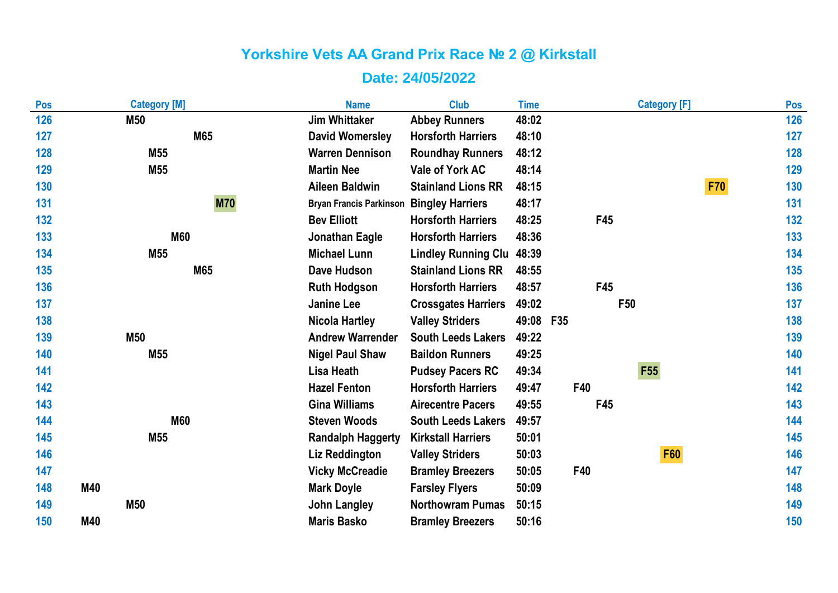| Pos        |     | <b>Category [M]</b> | <b>Name</b>                    | <b>Club</b>                | <b>Time</b> | <b>Category [F]</b> |            | Pos |
|------------|-----|---------------------|--------------------------------|----------------------------|-------------|---------------------|------------|-----|
| 126        |     | M50                 | <b>Jim Whittaker</b>           | <b>Abbey Runners</b>       | 48:02       |                     |            | 126 |
| 127        |     | M65                 | <b>David Womersley</b>         | <b>Horsforth Harriers</b>  | 48:10       |                     |            | 127 |
| 128        |     | M55                 | <b>Warren Dennison</b>         | <b>Roundhay Runners</b>    | 48:12       |                     |            | 128 |
| 129        |     | M55                 | <b>Martin Nee</b>              | Vale of York AC            | 48:14       |                     |            | 129 |
| 130        |     |                     | <b>Aileen Baldwin</b>          | <b>Stainland Lions RR</b>  | 48:15       |                     | <b>F70</b> | 130 |
| 131        |     | <b>M70</b>          | <b>Bryan Francis Parkinson</b> | <b>Bingley Harriers</b>    | 48:17       |                     |            | 131 |
| 132        |     |                     | <b>Bev Elliott</b>             | <b>Horsforth Harriers</b>  | 48:25       | F45                 |            | 132 |
| 133        |     | <b>M60</b>          | Jonathan Eagle                 | <b>Horsforth Harriers</b>  | 48:36       |                     |            | 133 |
| 134        |     | M55                 | <b>Michael Lunn</b>            | <b>Lindley Running Clu</b> | 48:39       |                     |            | 134 |
| 135        |     | M65                 | Dave Hudson                    | <b>Stainland Lions RR</b>  | 48:55       |                     |            | 135 |
| 136        |     |                     | <b>Ruth Hodgson</b>            | <b>Horsforth Harriers</b>  | 48:57       | F45                 |            | 136 |
| 137        |     |                     | <b>Janine Lee</b>              | <b>Crossgates Harriers</b> | 49:02       | F50                 |            | 137 |
| 138        |     |                     | <b>Nicola Hartley</b>          | <b>Valley Striders</b>     | 49:08 F35   |                     |            | 138 |
| 139        |     | <b>M50</b>          | <b>Andrew Warrender</b>        | <b>South Leeds Lakers</b>  | 49:22       |                     |            | 139 |
| 140        |     | M55                 | <b>Nigel Paul Shaw</b>         | <b>Baildon Runners</b>     | 49:25       |                     |            | 140 |
| 141        |     |                     | <b>Lisa Heath</b>              | <b>Pudsey Pacers RC</b>    | 49:34       | F55                 |            | 141 |
| 142        |     |                     | <b>Hazel Fenton</b>            | <b>Horsforth Harriers</b>  | 49:47       | F40                 |            | 142 |
| 143        |     |                     | <b>Gina Williams</b>           | <b>Airecentre Pacers</b>   | 49:55       | F45                 |            | 143 |
| 144        |     | <b>M60</b>          | <b>Steven Woods</b>            | <b>South Leeds Lakers</b>  | 49:57       |                     |            | 144 |
| 145        |     | M55                 | <b>Randalph Haggerty</b>       | <b>Kirkstall Harriers</b>  | 50:01       |                     |            | 145 |
| 146        |     |                     | Liz Reddington                 | <b>Valley Striders</b>     | 50:03       | <b>F60</b>          |            | 146 |
| 147        |     |                     | <b>Vicky McCreadie</b>         | <b>Bramley Breezers</b>    | 50:05       | F40                 |            | 147 |
| 148        | M40 |                     | <b>Mark Doyle</b>              | <b>Farsley Flyers</b>      | 50:09       |                     |            | 148 |
| 149        |     | M50                 | <b>John Langley</b>            | <b>Northowram Pumas</b>    | 50:15       |                     |            | 149 |
| <b>150</b> | M40 |                     | <b>Maris Basko</b>             | <b>Bramley Breezers</b>    | 50:16       |                     |            | 150 |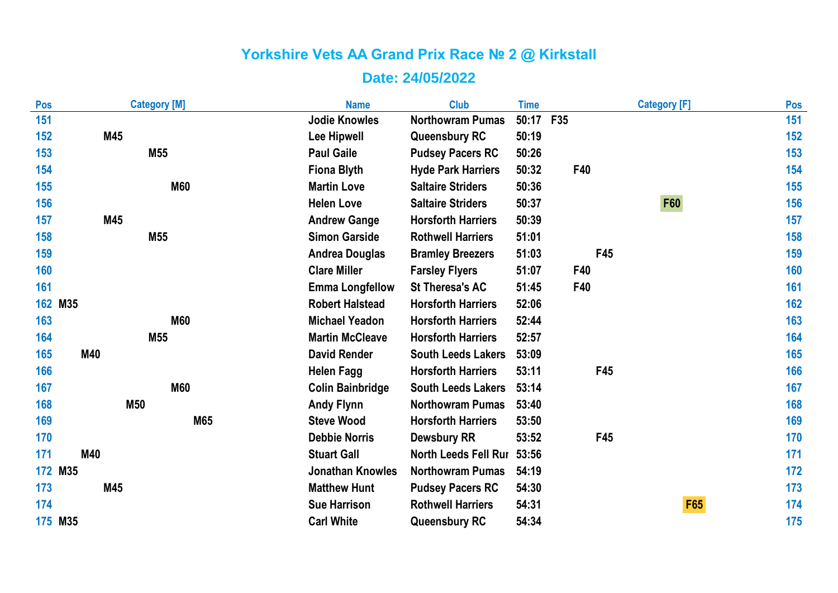| Pos | <b>Category [M]</b> | <b>Name</b>             | <b>Club</b>                 | <b>Time</b> |     | <b>Category [F]</b> | Pos |
|-----|---------------------|-------------------------|-----------------------------|-------------|-----|---------------------|-----|
| 151 |                     | <b>Jodie Knowles</b>    | <b>Northowram Pumas</b>     | 50:17 F35   |     |                     | 151 |
| 152 | M45                 | Lee Hipwell             | <b>Queensbury RC</b>        | 50:19       |     |                     | 152 |
| 153 | M55                 | <b>Paul Gaile</b>       | <b>Pudsey Pacers RC</b>     | 50:26       |     |                     | 153 |
| 154 |                     | <b>Fiona Blyth</b>      | <b>Hyde Park Harriers</b>   | 50:32       | F40 |                     | 154 |
| 155 | <b>M60</b>          | <b>Martin Love</b>      | <b>Saltaire Striders</b>    | 50:36       |     |                     | 155 |
| 156 |                     | <b>Helen Love</b>       | <b>Saltaire Striders</b>    | 50:37       |     | <b>F60</b>          | 156 |
| 157 | M45                 | <b>Andrew Gange</b>     | <b>Horsforth Harriers</b>   | 50:39       |     |                     | 157 |
| 158 | M55                 | <b>Simon Garside</b>    | <b>Rothwell Harriers</b>    | 51:01       |     |                     | 158 |
| 159 |                     | <b>Andrea Douglas</b>   | <b>Bramley Breezers</b>     | 51:03       | F45 |                     | 159 |
| 160 |                     | <b>Clare Miller</b>     | <b>Farsley Flyers</b>       | 51:07       | F40 |                     | 160 |
| 161 |                     | <b>Emma Longfellow</b>  | <b>St Theresa's AC</b>      | 51:45       | F40 |                     | 161 |
|     | 162 M35             | <b>Robert Halstead</b>  | <b>Horsforth Harriers</b>   | 52:06       |     |                     | 162 |
| 163 | <b>M60</b>          | <b>Michael Yeadon</b>   | <b>Horsforth Harriers</b>   | 52:44       |     |                     | 163 |
| 164 | M55                 | <b>Martin McCleave</b>  | <b>Horsforth Harriers</b>   | 52:57       |     |                     | 164 |
| 165 | M40                 | <b>David Render</b>     | <b>South Leeds Lakers</b>   | 53:09       |     |                     | 165 |
| 166 |                     | <b>Helen Fagg</b>       | <b>Horsforth Harriers</b>   | 53:11       | F45 |                     | 166 |
| 167 | <b>M60</b>          | <b>Colin Bainbridge</b> | <b>South Leeds Lakers</b>   | 53:14       |     |                     | 167 |
| 168 | M50                 | <b>Andy Flynn</b>       | <b>Northowram Pumas</b>     | 53:40       |     |                     | 168 |
| 169 | M65                 | <b>Steve Wood</b>       | <b>Horsforth Harriers</b>   | 53:50       |     |                     | 169 |
| 170 |                     | <b>Debbie Norris</b>    | <b>Dewsbury RR</b>          | 53:52       | F45 |                     | 170 |
| 171 | M40                 | <b>Stuart Gall</b>      | <b>North Leeds Fell Rur</b> | 53:56       |     |                     | 171 |
|     | 172 M35             | <b>Jonathan Knowles</b> | <b>Northowram Pumas</b>     | 54:19       |     |                     | 172 |
| 173 | M45                 | <b>Matthew Hunt</b>     | <b>Pudsey Pacers RC</b>     | 54:30       |     |                     | 173 |
| 174 |                     | <b>Sue Harrison</b>     | <b>Rothwell Harriers</b>    | 54:31       |     | F65                 | 174 |
|     | 175 M35             | <b>Carl White</b>       | <b>Queensbury RC</b>        | 54:34       |     |                     | 175 |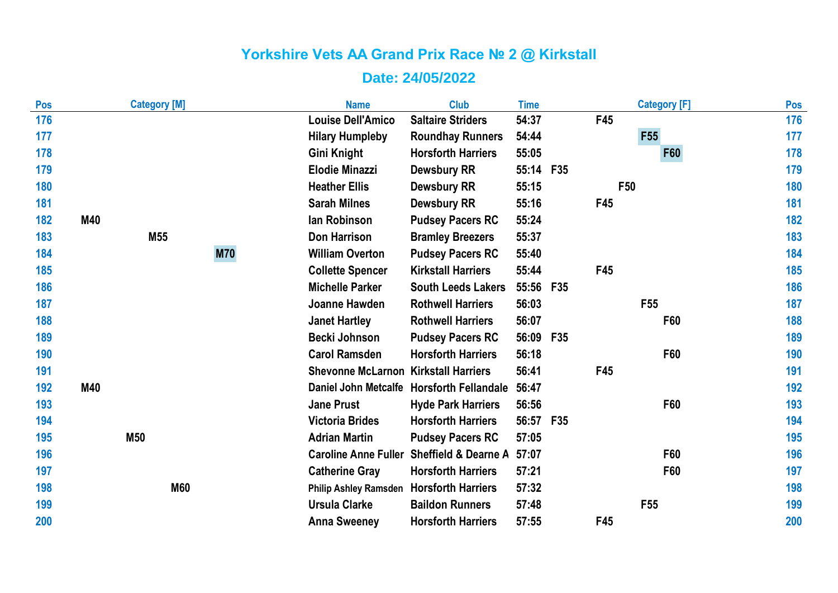| Pos        |     | <b>Category [M]</b> |            | <b>Name</b>                                 | <b>Club</b>                               | <b>Time</b> |            | <b>Category [F]</b> | Pos |
|------------|-----|---------------------|------------|---------------------------------------------|-------------------------------------------|-------------|------------|---------------------|-----|
| 176        |     |                     |            | <b>Louise Dell'Amico</b>                    | <b>Saltaire Striders</b>                  | 54:37       |            | F45                 | 176 |
| 177        |     |                     |            | <b>Hilary Humpleby</b>                      | <b>Roundhay Runners</b>                   | 54:44       |            | <b>F55</b>          | 177 |
| 178        |     |                     |            | Gini Knight                                 | <b>Horsforth Harriers</b>                 | 55:05       |            | F60                 | 178 |
| 179        |     |                     |            | <b>Elodie Minazzi</b>                       | <b>Dewsbury RR</b>                        | 55:14 F35   |            |                     | 179 |
| <b>180</b> |     |                     |            | <b>Heather Ellis</b>                        | <b>Dewsbury RR</b>                        | 55:15       |            | F <sub>50</sub>     | 180 |
| 181        |     |                     |            | <b>Sarah Milnes</b>                         | <b>Dewsbury RR</b>                        | 55:16       |            | F45                 | 181 |
| 182        | M40 |                     |            | lan Robinson                                | <b>Pudsey Pacers RC</b>                   | 55:24       |            |                     | 182 |
| 183        |     | M <sub>55</sub>     |            | <b>Don Harrison</b>                         | <b>Bramley Breezers</b>                   | 55:37       |            |                     | 183 |
| 184        |     |                     | <b>M70</b> | <b>William Overton</b>                      | <b>Pudsey Pacers RC</b>                   | 55:40       |            |                     | 184 |
| 185        |     |                     |            | <b>Collette Spencer</b>                     | <b>Kirkstall Harriers</b>                 | 55:44       |            | F45                 | 185 |
| 186        |     |                     |            | <b>Michelle Parker</b>                      | <b>South Leeds Lakers</b>                 | 55:56 F35   |            |                     | 186 |
| 187        |     |                     |            | Joanne Hawden                               | <b>Rothwell Harriers</b>                  | 56:03       |            | F <sub>55</sub>     | 187 |
| 188        |     |                     |            | <b>Janet Hartley</b>                        | <b>Rothwell Harriers</b>                  | 56:07       |            | F60                 | 188 |
| 189        |     |                     |            | <b>Becki Johnson</b>                        | <b>Pudsey Pacers RC</b>                   | 56:09       | <b>F35</b> |                     | 189 |
| 190        |     |                     |            | <b>Carol Ramsden</b>                        | <b>Horsforth Harriers</b>                 | 56:18       |            | F60                 | 190 |
| 191        |     |                     |            | <b>Shevonne McLarnon Kirkstall Harriers</b> |                                           | 56:41       |            | F45                 | 191 |
| 192        | M40 |                     |            |                                             | Daniel John Metcalfe Horsforth Fellandale | 56:47       |            |                     | 192 |
| 193        |     |                     |            | <b>Jane Prust</b>                           | <b>Hyde Park Harriers</b>                 | 56:56       |            | F60                 | 193 |
| 194        |     |                     |            | <b>Victoria Brides</b>                      | <b>Horsforth Harriers</b>                 | 56:57 F35   |            |                     | 194 |
| 195        |     | M50                 |            | <b>Adrian Martin</b>                        | <b>Pudsey Pacers RC</b>                   | 57:05       |            |                     | 195 |
| 196        |     |                     |            | <b>Caroline Anne Fuller</b>                 | <b>Sheffield &amp; Dearne A</b>           | 57:07       |            | F60                 | 196 |
| 197        |     |                     |            | <b>Catherine Gray</b>                       | <b>Horsforth Harriers</b>                 | 57:21       |            | F60                 | 197 |
| 198        |     | <b>M60</b>          |            | Philip Ashley Ramsden Horsforth Harriers    |                                           | 57:32       |            |                     | 198 |
| 199        |     |                     |            | <b>Ursula Clarke</b>                        | <b>Baildon Runners</b>                    | 57:48       |            | F <sub>55</sub>     | 199 |
| 200        |     |                     |            | <b>Anna Sweeney</b>                         | <b>Horsforth Harriers</b>                 | 57:55       |            | F45                 | 200 |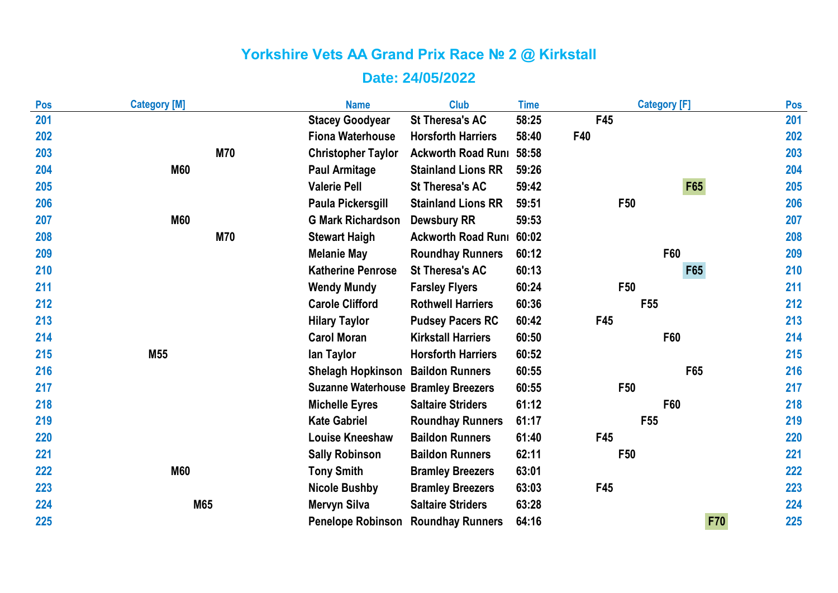| Pos | <b>Category [M]</b> | <b>Name</b>                                | <b>Club</b>               | <b>Time</b> | <b>Category [F]</b> | Pos |
|-----|---------------------|--------------------------------------------|---------------------------|-------------|---------------------|-----|
| 201 |                     | <b>Stacey Goodyear</b>                     | <b>St Theresa's AC</b>    | 58:25       | F45                 | 201 |
| 202 |                     | <b>Fiona Waterhouse</b>                    | <b>Horsforth Harriers</b> | 58:40       | F40                 | 202 |
| 203 | <b>M70</b>          | <b>Christopher Taylor</b>                  | <b>Ackworth Road Runi</b> | 58:58       |                     | 203 |
| 204 | <b>M60</b>          | <b>Paul Armitage</b>                       | <b>Stainland Lions RR</b> | 59:26       |                     | 204 |
| 205 |                     | <b>Valerie Pell</b>                        | <b>St Theresa's AC</b>    | 59:42       | <b>F65</b>          | 205 |
| 206 |                     | Paula Pickersgill                          | <b>Stainland Lions RR</b> | 59:51       | F50                 | 206 |
| 207 | <b>M60</b>          | <b>G Mark Richardson</b>                   | <b>Dewsbury RR</b>        | 59:53       |                     | 207 |
| 208 | <b>M70</b>          | <b>Stewart Haigh</b>                       | <b>Ackworth Road Runi</b> | 60:02       |                     | 208 |
| 209 |                     | <b>Melanie May</b>                         | <b>Roundhay Runners</b>   | 60:12       | F60                 | 209 |
| 210 |                     | <b>Katherine Penrose</b>                   | <b>St Theresa's AC</b>    | 60:13       | F65                 | 210 |
| 211 |                     | <b>Wendy Mundy</b>                         | <b>Farsley Flyers</b>     | 60:24       | F <sub>50</sub>     | 211 |
| 212 |                     | <b>Carole Clifford</b>                     | <b>Rothwell Harriers</b>  | 60:36       | F <sub>55</sub>     | 212 |
| 213 |                     | <b>Hilary Taylor</b>                       | <b>Pudsey Pacers RC</b>   | 60:42       | F45                 | 213 |
| 214 |                     | <b>Carol Moran</b>                         | <b>Kirkstall Harriers</b> | 60:50       | F60                 | 214 |
| 215 | M <sub>55</sub>     | lan Taylor                                 | <b>Horsforth Harriers</b> | 60:52       |                     | 215 |
| 216 |                     | <b>Shelagh Hopkinson</b>                   | <b>Baildon Runners</b>    | 60:55       | F65                 | 216 |
| 217 |                     | <b>Suzanne Waterhouse Bramley Breezers</b> |                           | 60:55       | F50                 | 217 |
| 218 |                     | <b>Michelle Eyres</b>                      | <b>Saltaire Striders</b>  | 61:12       | F60                 | 218 |
| 219 |                     | <b>Kate Gabriel</b>                        | <b>Roundhay Runners</b>   | 61:17       | F <sub>55</sub>     | 219 |
| 220 |                     | <b>Louise Kneeshaw</b>                     | <b>Baildon Runners</b>    | 61:40       | F45                 | 220 |
| 221 |                     | <b>Sally Robinson</b>                      | <b>Baildon Runners</b>    | 62:11       | F <sub>50</sub>     | 221 |
| 222 | <b>M60</b>          | <b>Tony Smith</b>                          | <b>Bramley Breezers</b>   | 63:01       |                     | 222 |
| 223 |                     | <b>Nicole Bushby</b>                       | <b>Bramley Breezers</b>   | 63:03       | F45                 | 223 |
| 224 | M65                 | <b>Mervyn Silva</b>                        | <b>Saltaire Striders</b>  | 63:28       |                     | 224 |
| 225 |                     | <b>Penelope Robinson</b>                   | <b>Roundhay Runners</b>   | 64:16       | <b>F70</b>          | 225 |